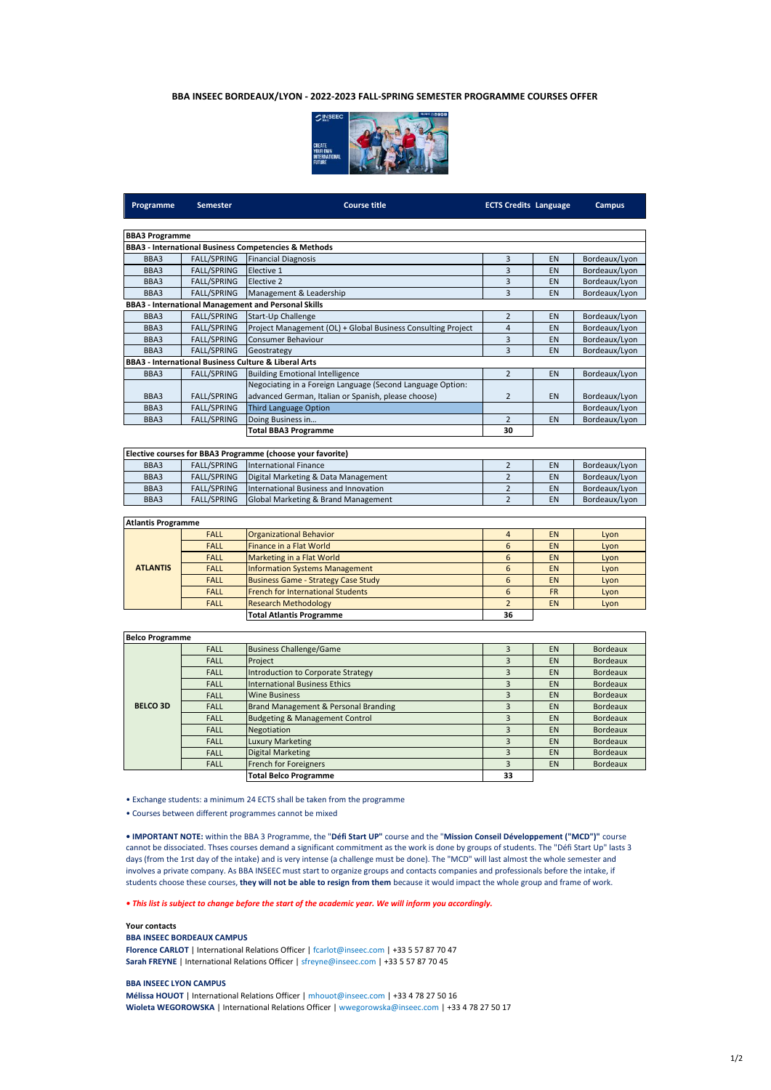# **BBA INSEEC BORDEAUX/LYON - 2022-2023 FALL-SPRING SEMESTER PROGRAMME COURSES OFFER**



| <b>Programme</b>          | <b>Semester</b>    | <b>Course title</b>                                          | <b>ECTS Credits Language</b> |           | <b>Campus</b>   |
|---------------------------|--------------------|--------------------------------------------------------------|------------------------------|-----------|-----------------|
| <b>BBA3 Programme</b>     |                    |                                                              |                              |           |                 |
|                           |                    | BBA3 - International Business Competencies & Methods         |                              |           |                 |
| BBA3                      | <b>FALL/SPRING</b> | <b>Financial Diagnosis</b>                                   | 3                            | EN        | Bordeaux/Lyon   |
| BBA3                      | <b>FALL/SPRING</b> | Elective 1                                                   | 3                            | EN        | Bordeaux/Lyon   |
| BBA3                      | <b>FALL/SPRING</b> | Elective 2                                                   | 3                            | EN        | Bordeaux/Lyon   |
| BBA3                      | <b>FALL/SPRING</b> | Management & Leadership                                      | 3                            | EN        | Bordeaux/Lyon   |
|                           |                    | <b>BBA3 - International Management and Personal Skills</b>   |                              |           |                 |
| BBA3                      | <b>FALL/SPRING</b> | Start-Up Challenge                                           | $\overline{2}$               | EN        | Bordeaux/Lyon   |
| BBA3                      | <b>FALL/SPRING</b> | Project Management (OL) + Global Business Consulting Project | $\overline{4}$               | EN        | Bordeaux/Lyon   |
| BBA3                      | FALL/SPRING        | Consumer Behaviour                                           | 3                            | EN        | Bordeaux/Lyon   |
| BBA3                      | <b>FALL/SPRING</b> | Geostrategy                                                  | 3                            | EN        | Bordeaux/Lyon   |
|                           |                    | BBA3 - International Business Culture & Liberal Arts         |                              |           |                 |
| BBA3                      | <b>FALL/SPRING</b> | <b>Building Emotional Intelligence</b>                       | $\overline{2}$               | EN        | Bordeaux/Lyon   |
|                           |                    | Negociating in a Foreign Language (Second Language Option:   |                              |           |                 |
| BBA3                      | <b>FALL/SPRING</b> | advanced German, Italian or Spanish, please choose)          | $\overline{2}$               | EN        | Bordeaux/Lyon   |
| BBA3                      | FALL/SPRING        | <b>Third Language Option</b>                                 |                              |           | Bordeaux/Lyon   |
| BBA3                      | <b>FALL/SPRING</b> | Doing Business in                                            | $\overline{2}$               | EN        | Bordeaux/Lyon   |
|                           |                    | <b>Total BBA3 Programme</b>                                  | 30                           |           |                 |
|                           |                    |                                                              |                              |           |                 |
|                           |                    | Elective courses for BBA3 Programme (choose your favorite)   |                              |           |                 |
| BBA3                      | <b>FALL/SPRING</b> | <b>International Finance</b>                                 | $\overline{2}$               | EN        | Bordeaux/Lyon   |
| BBA3                      | <b>FALL/SPRING</b> | Digital Marketing & Data Management                          | $\overline{2}$               | EN        | Bordeaux/Lyon   |
| BBA3                      | FALL/SPRING        | International Business and Innovation                        | $\overline{2}$               | EN        | Bordeaux/Lyon   |
| BBA3                      | <b>FALL/SPRING</b> | Global Marketing & Brand Management                          | $\overline{2}$               | EN        | Bordeaux/Lyon   |
| <b>Atlantis Programme</b> |                    |                                                              |                              |           |                 |
|                           | <b>FALL</b>        | <b>Organizational Behavior</b>                               | $\overline{4}$               | EN        | Lyon            |
| <b>ATLANTIS</b>           | <b>FALL</b>        | <b>Finance in a Flat World</b>                               | 6                            | EN        | Lyon            |
|                           | <b>FALL</b>        | Marketing in a Flat World                                    | 6                            | EN        | Lyon            |
|                           | <b>FALL</b>        | <b>Information Systems Management</b>                        | 6                            | EN        | Lyon            |
|                           | <b>FALL</b>        | <b>Business Game - Strategy Case Study</b>                   | 6                            | EN        | Lyon            |
|                           | <b>FALL</b>        | <b>French for International Students</b>                     | 6                            | <b>FR</b> | Lyon            |
|                           | <b>FALL</b>        | <b>Research Methodology</b>                                  | $\overline{2}$               | EN        | Lyon            |
|                           |                    | <b>Total Atlantis Programme</b>                              | 36                           |           |                 |
| <b>Belco Programme</b>    |                    |                                                              |                              |           |                 |
|                           | <b>FALL</b>        | <b>Business Challenge/Game</b>                               | 3                            | EN        | <b>Bordeaux</b> |
| <b>BELCO 3D</b>           | <b>FALL</b>        | Project                                                      | 3                            | EN        | <b>Bordeaux</b> |
|                           | <b>FALL</b>        | <b>Introduction to Corporate Strategy</b>                    | 3                            | EN        | <b>Bordeaux</b> |
|                           | <b>FALL</b>        | <b>International Business Ethics</b>                         | 3                            | EN        | <b>Bordeaux</b> |
|                           | <b>FALL</b>        | <b>Wine Business</b>                                         | 3                            | EN        | <b>Bordeaux</b> |
|                           | <b>FALL</b>        | <b>Brand Management &amp; Personal Branding</b>              | $\overline{3}$               | EN        | <b>Bordeaux</b> |
|                           | <b>FALL</b>        | <b>Budgeting &amp; Management Control</b>                    | 3                            | EN        | <b>Bordeaux</b> |
|                           | <b>FALL</b>        | Negotiation                                                  | $\overline{3}$               | EN        | <b>Bordeaux</b> |
|                           | <b>FALL</b>        | <b>Luxury Marketing</b>                                      | 3                            | EN        | <b>Bordeaux</b> |
|                           | <b>FALL</b>        | <b>Digital Marketing</b>                                     | 3                            | EN        | <b>Bordeaux</b> |
|                           | <b>FALL</b>        | French for Foreigners                                        | 3                            | EN        | <b>Bordeaux</b> |

• Exchange students: a minimum 24 ECTS shall be taken from the programme

• Courses between different programmes cannot be mixed

**• IMPORTANT NOTE:** within the BBA 3 Programme, the "**Défi Start UP"** course and the "**Mission Conseil Développement ("MCD")"** course cannot be dissociated. Thses courses demand a significant commitment as the work is done by groups of students. The "Défi Start Up" lasts 3 days (from the 1rst day of the intake) and is very intense (a challenge must be done). The "MCD" will last almost the whole semester and involves a private company. As BBA INSEEC must start to organize groups and contacts companies and professionals before the intake, if students choose these courses, **they will not be able to resign from them** because it would impact the whole group and frame of work.

**Total Belco Programme 33**

# *• This list is subject to change before the start of the academic year. We will inform you accordingly.*

# **Your contacts**

# **BBA INSEEC BORDEAUX CAMPUS**

Florence CARLOT | International Relations Officer | fcarlot@inseec.com | +33 5 57 87 70 47 **Sarah FREYNE** | International Relations Officer | sfreyne@inseec.com | +33 5 57 87 70 45

# **BBA INSEEC LYON CAMPUS**

**Mélissa HOUOT** | International Relations Officer | mhouot@inseec.com | +33 4 78 27 50 16 **Wioleta WEGOROWSKA** | International Relations Officer | wwegorowska@inseec.com | +33 4 78 27 50 17